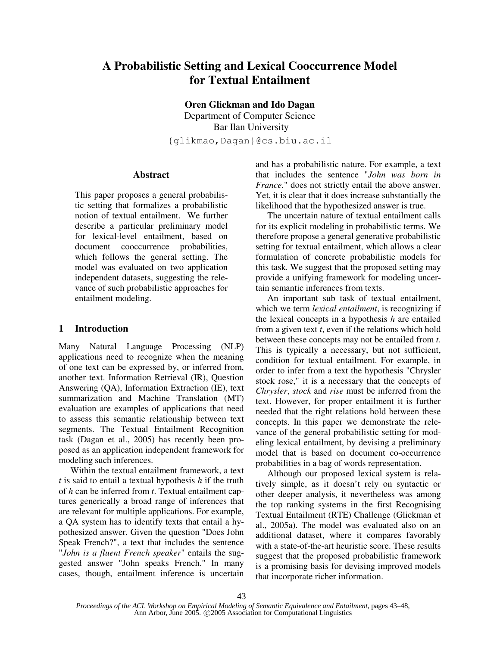# **A Probabilistic Setting and Lexical Cooccurrence Model for Textual Entailment**

**Oren Glickman and Ido Dagan** 

Department of Computer Science Bar Ilan University

{glikmao,Dagan}@cs.biu.ac.il

## **Abstract**

This paper proposes a general probabilistic setting that formalizes a probabilistic notion of textual entailment. We further describe a particular preliminary model for lexical-level entailment, based on document cooccurrence probabilities, which follows the general setting. The model was evaluated on two application independent datasets, suggesting the relevance of such probabilistic approaches for entailment modeling.

## **1 Introduction**

Many Natural Language Processing (NLP) applications need to recognize when the meaning of one text can be expressed by, or inferred from, another text. Information Retrieval (IR), Question Answering (QA), Information Extraction (IE), text summarization and Machine Translation (MT) evaluation are examples of applications that need to assess this semantic relationship between text segments. The Textual Entailment Recognition task (Dagan et al., 2005) has recently been proposed as an application independent framework for modeling such inferences.

Within the textual entailment framework, a text *t* is said to entail a textual hypothesis *h* if the truth of *h* can be inferred from *t*. Textual entailment captures generically a broad range of inferences that are relevant for multiple applications. For example, a QA system has to identify texts that entail a hypothesized answer. Given the question "Does John Speak French?", a text that includes the sentence "*John is a fluent French speaker*" entails the suggested answer "John speaks French." In many cases, though, entailment inference is uncertain

and has a probabilistic nature. For example, a text that includes the sentence "*John was born in France.*" does not strictly entail the above answer. Yet, it is clear that it does increase substantially the likelihood that the hypothesized answer is true.

The uncertain nature of textual entailment calls for its explicit modeling in probabilistic terms. We therefore propose a general generative probabilistic setting for textual entailment, which allows a clear formulation of concrete probabilistic models for this task. We suggest that the proposed setting may provide a unifying framework for modeling uncertain semantic inferences from texts.

An important sub task of textual entailment, which we term *lexical entailment*, is recognizing if the lexical concepts in a hypothesis *h* are entailed from a given text *t*, even if the relations which hold between these concepts may not be entailed from *t*. This is typically a necessary, but not sufficient, condition for textual entailment. For example, in order to infer from a text the hypothesis "Chrysler stock rose," it is a necessary that the concepts of *Chrysler*, *stock* and *rise* must be inferred from the text. However, for proper entailment it is further needed that the right relations hold between these concepts. In this paper we demonstrate the relevance of the general probabilistic setting for modeling lexical entailment, by devising a preliminary model that is based on document co-occurrence probabilities in a bag of words representation.

Although our proposed lexical system is relatively simple, as it doesn't rely on syntactic or other deeper analysis, it nevertheless was among the top ranking systems in the first Recognising Textual Entailment (RTE) Challenge (Glickman et al., 2005a). The model was evaluated also on an additional dataset, where it compares favorably with a state-of-the-art heuristic score. These results suggest that the proposed probabilistic framework is a promising basis for devising improved models that incorporate richer information.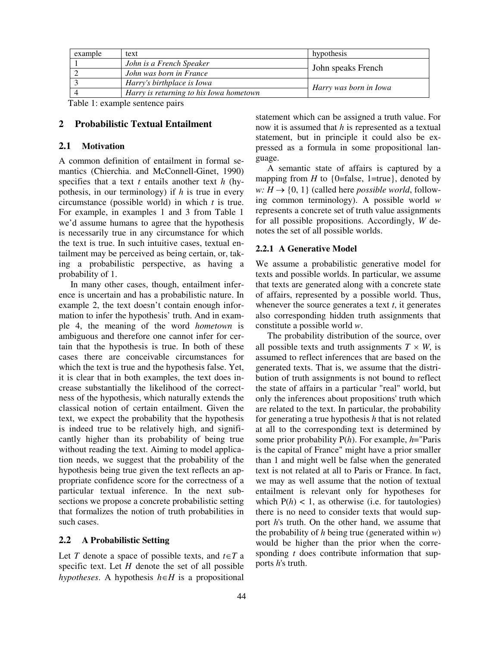| example | text                                    | hypothesis             |  |
|---------|-----------------------------------------|------------------------|--|
|         | John is a French Speaker                | John speaks French     |  |
|         | John was born in France                 |                        |  |
|         | Harry's birthplace is Iowa              | Harry was born in Iowa |  |
|         | Harry is returning to his Iowa hometown |                        |  |

Table 1: example sentence pairs

## **2 Probabilistic Textual Entailment**

#### **2.1 Motivation**

A common definition of entailment in formal semantics (Chierchia. and McConnell-Ginet, 1990) specifies that a text *t* entails another text *h* (hypothesis, in our terminology) if *h* is true in every circumstance (possible world) in which *t* is true. For example, in examples 1 and 3 from Table 1 we'd assume humans to agree that the hypothesis is necessarily true in any circumstance for which the text is true. In such intuitive cases, textual entailment may be perceived as being certain, or, taking a probabilistic perspective, as having a probability of 1.

In many other cases, though, entailment inference is uncertain and has a probabilistic nature. In example 2, the text doesn't contain enough information to infer the hypothesis' truth. And in example 4, the meaning of the word *hometown* is ambiguous and therefore one cannot infer for certain that the hypothesis is true. In both of these cases there are conceivable circumstances for which the text is true and the hypothesis false. Yet, it is clear that in both examples, the text does increase substantially the likelihood of the correctness of the hypothesis, which naturally extends the classical notion of certain entailment. Given the text, we expect the probability that the hypothesis is indeed true to be relatively high, and significantly higher than its probability of being true without reading the text. Aiming to model application needs, we suggest that the probability of the hypothesis being true given the text reflects an appropriate confidence score for the correctness of a particular textual inference. In the next subsections we propose a concrete probabilistic setting that formalizes the notion of truth probabilities in such cases.

#### **2.2 A Probabilistic Setting**

Let *T* denote a space of possible texts, and  $t \in T$  a specific text. Let *H* denote the set of all possible *hypotheses*. A hypothesis *h*∈*H* is a propositional

statement which can be assigned a truth value. For now it is assumed that *h* is represented as a textual statement, but in principle it could also be expressed as a formula in some propositional language.

A semantic state of affairs is captured by a mapping from  $H$  to {0=false, 1=true}, denoted by  $w: H \to \{0, 1\}$  (called here *possible world*, following common terminology). A possible world *w* represents a concrete set of truth value assignments for all possible propositions. Accordingly, *W* denotes the set of all possible worlds.

#### **2.2.1 A Generative Model**

We assume a probabilistic generative model for texts and possible worlds. In particular, we assume that texts are generated along with a concrete state of affairs, represented by a possible world. Thus, whenever the source generates a text *t*, it generates also corresponding hidden truth assignments that constitute a possible world *w*.

The probability distribution of the source, over all possible texts and truth assignments  $T \times W$ , is assumed to reflect inferences that are based on the generated texts. That is, we assume that the distribution of truth assignments is not bound to reflect the state of affairs in a particular "real" world, but only the inferences about propositions' truth which are related to the text. In particular, the probability for generating a true hypothesis *h* that is not related at all to the corresponding text is determined by some prior probability P(*h*). For example, *h*="Paris is the capital of France" might have a prior smaller than 1 and might well be false when the generated text is not related at all to Paris or France. In fact, we may as well assume that the notion of textual entailment is relevant only for hypotheses for which  $P(h) < 1$ , as otherwise (i.e. for tautologies) there is no need to consider texts that would support *h*'s truth. On the other hand, we assume that the probability of *h* being true (generated within *w*) would be higher than the prior when the corresponding *t* does contribute information that supports *h*'s truth.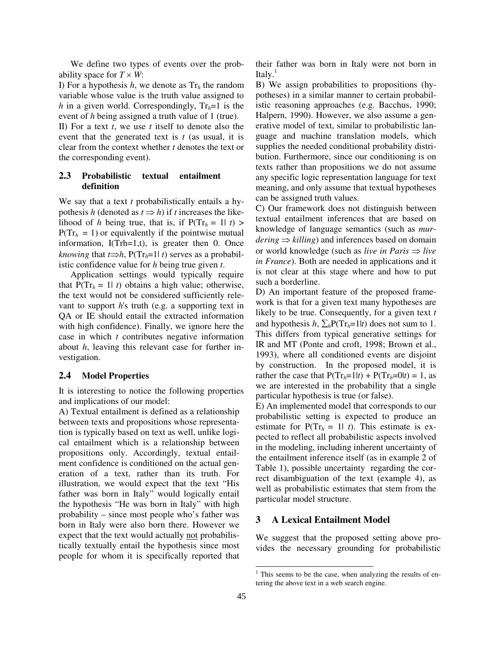We define two types of events over the probability space for  $T \times W$ :

I) For a hypothesis  $h$ , we denote as  $Tr<sub>h</sub>$  the random variable whose value is the truth value assigned to *h* in a given world. Correspondingly,  $Tr_h=1$  is the event of *h* being assigned a truth value of 1 (true).

II) For a text *t*, we use *t* itself to denote also the event that the generated text is *t* (as usual, it is clear from the context whether *t* denotes the text or the corresponding event).

# **2.3 Probabilistic textual entailment definition**

We say that a text *t* probabilistically entails a hypothesis *h* (denoted as  $t \Rightarrow h$ ) if *t* increases the likelihood of *h* being true, that is, if  $P(Tr_h = 1 | t)$  $P(Tr_h = 1)$  or equivalently if the pointwise mutual information,  $I(Th=1,t)$ , is greater then 0. Once *knowing* that  $t \Rightarrow h$ ,  $P(Tr_h=1| t)$  serves as a probabilistic confidence value for *h* being true given *t*.

Application settings would typically require that  $P(Tr_h = 1 | t)$  obtains a high value; otherwise, the text would not be considered sufficiently relevant to support *h*'s truth (e.g. a supporting text in QA or IE should entail the extracted information with high confidence). Finally, we ignore here the case in which *t* contributes negative information about *h*, leaving this relevant case for further investigation.

## **2.4 Model Properties**

It is interesting to notice the following properties and implications of our model:

A) Textual entailment is defined as a relationship between texts and propositions whose representation is typically based on text as well, unlike logical entailment which is a relationship between propositions only. Accordingly, textual entailment confidence is conditioned on the actual generation of a text, rather than its truth. For illustration, we would expect that the text "His father was born in Italy" would logically entail the hypothesis "He was born in Italy" with high probability – since most people who's father was born in Italy were also born there. However we expect that the text would actually not probabilistically textually entail the hypothesis since most people for whom it is specifically reported that their father was born in Italy were not born in Italy. $<sup>1</sup>$ </sup>

B) We assign probabilities to propositions (hypotheses) in a similar manner to certain probabilistic reasoning approaches (e.g. Bacchus, 1990; Halpern, 1990). However, we also assume a generative model of text, similar to probabilistic language and machine translation models, which supplies the needed conditional probability distribution. Furthermore, since our conditioning is on texts rather than propositions we do not assume any specific logic representation language for text meaning, and only assume that textual hypotheses can be assigned truth values.

C) Our framework does not distinguish between textual entailment inferences that are based on knowledge of language semantics (such as *mur* $dering \Rightarrow killing$ ) and inferences based on domain or world knowledge (such as *live in Paris* ⇒ *live in France*). Both are needed in applications and it is not clear at this stage where and how to put such a borderline.

D) An important feature of the proposed framework is that for a given text many hypotheses are likely to be true. Consequently, for a given text *t*  and hypothesis  $h$ ,  $\sum_{h}P(Tr_h=1|t)$  does not sum to 1. This differs from typical generative settings for IR and MT (Ponte and croft, 1998; Brown et al., 1993), where all conditioned events are disjoint by construction. In the proposed model, it is rather the case that  $P(Tr_h=1|t) + P(Tr_h=0|t) = 1$ , as we are interested in the probability that a single particular hypothesis is true (or false).

E) An implemented model that corresponds to our probabilistic setting is expected to produce an estimate for  $P(Tr_h = 1 | t)$ . This estimate is expected to reflect all probabilistic aspects involved in the modeling, including inherent uncertainty of the entailment inference itself (as in example 2 of Table 1), possible uncertainty regarding the correct disambiguation of the text (example 4), as well as probabilistic estimates that stem from the particular model structure.

## **3 A Lexical Entailment Model**

We suggest that the proposed setting above provides the necessary grounding for probabilistic

<sup>&</sup>lt;sup>1</sup> This seems to be the case, when analyzing the results of entering the above text in a web search engine.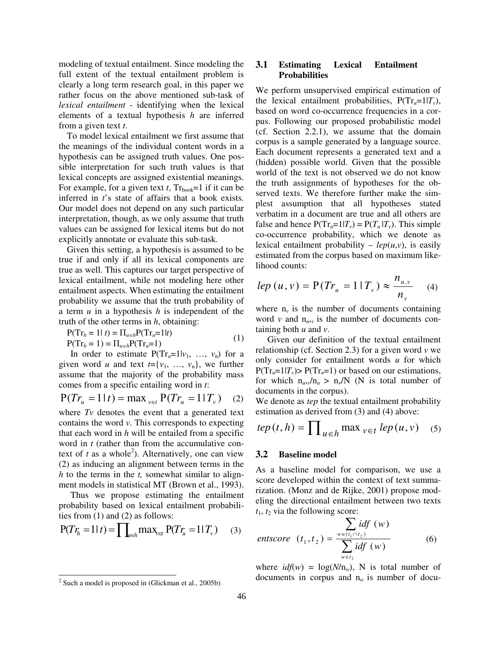modeling of textual entailment. Since modeling the full extent of the textual entailment problem is clearly a long term research goal, in this paper we rather focus on the above mentioned sub-task of *lexical entailment* - identifying when the lexical elements of a textual hypothesis *h* are inferred from a given text *t*.

To model lexical entailment we first assume that the meanings of the individual content words in a hypothesis can be assigned truth values. One possible interpretation for such truth values is that lexical concepts are assigned existential meanings. For example, for a given text  $t$ ,  $Tr_{\text{book}} = 1$  if it can be inferred in *t*'s state of affairs that a book exists. Our model does not depend on any such particular interpretation, though, as we only assume that truth values can be assigned for lexical items but do not explicitly annotate or evaluate this sub-task.

Given this setting, a hypothesis is assumed to be true if and only if all its lexical components are true as well. This captures our target perspective of lexical entailment, while not modeling here other entailment aspects. When estimating the entailment probability we assume that the truth probability of a term *u* in a hypothesis *h* is independent of the truth of the other terms in *h*, obtaining:

 $P(Tr_h = 1 | t) = \prod_{u \in h} P(Tr_u = 1 | t)$  $P(Tr_h = 1) = \prod_{u \in h} P(Tr_u = 1)$  (1)

In order to estimate  $P(Tr_u=1|v_1, ..., v_n)$  for a given word *u* and text  $t = \{v_1, \ldots, v_n\}$ , we further assume that the majority of the probability mass comes from a specific entailing word in *t*:

$$
P(Tr_u = 1 | t) = \max_{v \in t} P(Tr_u = 1 | T_v)
$$
 (2)

where *Tv* denotes the event that a generated text contains the word *v*. This corresponds to expecting that each word in *h* will be entailed from a specific word in *t* (rather than from the accumulative context of  $t$  as a whole<sup>2</sup>). Alternatively, one can view (2) as inducing an alignment between terms in the *h* to the terms in the *t,* somewhat similar to alignment models in statistical MT (Brown et al., 1993).

Thus we propose estimating the entailment probability based on lexical entailment probabilities from (1) and (2) as follows:

$$
P(Tr_h = 1 | t) = \prod_{u \in h} \max_{v \in t} P(Tr_u = 1 | T_v) \quad (3)
$$

 $\overline{a}$ 

#### **3.1 Estimating Lexical Entailment Probabilities**

We perform unsupervised empirical estimation of the lexical entailment probabilities,  $P(Tr<sub>u</sub>=1|T<sub>v</sub>)$ , based on word co-occurrence frequencies in a corpus. Following our proposed probabilistic model (cf. Section 2.2.1), we assume that the domain corpus is a sample generated by a language source. Each document represents a generated text and a (hidden) possible world. Given that the possible world of the text is not observed we do not know the truth assignments of hypotheses for the observed texts. We therefore further make the simplest assumption that all hypotheses stated verbatim in a document are true and all others are false and hence  $P(Tr_u=1|T_v) = P(T_u|T_v)$ . This simple co-occurrence probability, which we denote as lexical entailment probability –  $lep(u,v)$ , is easily estimated from the corpus based on maximum likelihood counts:

$$
lep (u, v) = P(Tr_u = 1 | T_v) \approx \frac{n_{u, v}}{n_v}
$$
 (4)

where  $n_{\nu}$  is the number of documents containing word  $v$  and  $n_{u,v}$  is the number of documents containing both *u* and *v*.

Given our definition of the textual entailment relationship (cf. Section 2.3) for a given word *v* we only consider for entailment words *u* for which  $P(Tr_u=1|T_v)$  >  $P(Tr_u=1)$  or based on our estimations, for which  $n_{u,v}/n_u > n_v/N$  (N is total number of documents in the corpus).

We denote as *tep* the textual entailment probability estimation as derived from (3) and (4) above:

$$
tep(t, h) = \prod_{u \in h} \max_{v \in t} lep(u, v) \quad (5)
$$

#### **3.2 Baseline model**

As a baseline model for comparison, we use a score developed within the context of text summarization. (Monz and de Rijke, 2001) propose modeling the directional entailment between two texts  $t_1$ ,  $t_2$  via the following score:

$$
entscore (t_1, t_2) = \frac{\sum_{w \in (t_1 \cap t_2)} idf(w)}{\sum_{w \in t_2} idf(w)}
$$
 (6)

where  $idf(w) = log(N/n_w)$ , N is total number of documents in corpus and  $n_w$  is number of docu-

<sup>&</sup>lt;sup>2</sup> Such a model is proposed in (Glickman et al., 2005b)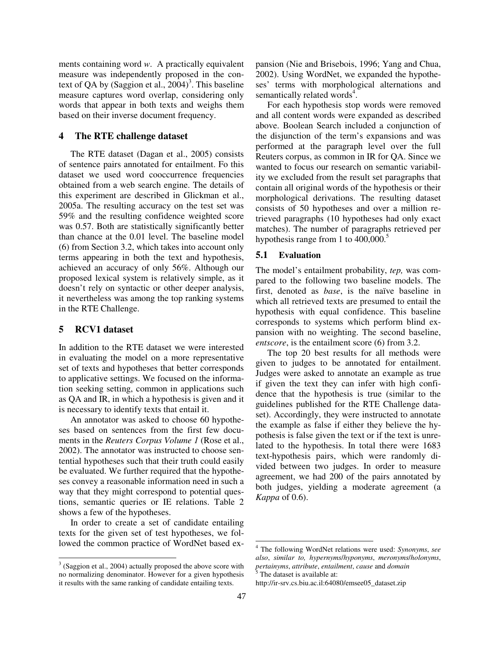ments containing word *w*. A practically equivalent measure was independently proposed in the context of QA by (Saggion et al.,  $2004$ <sup>3</sup>. This baseline measure captures word overlap, considering only words that appear in both texts and weighs them based on their inverse document frequency.

#### **4 The RTE challenge dataset**

The RTE dataset (Dagan et al., 2005) consists of sentence pairs annotated for entailment. Fo this dataset we used word cooccurrence frequencies obtained from a web search engine. The details of this experiment are described in Glickman et al., 2005a. The resulting accuracy on the test set was 59% and the resulting confidence weighted score was 0.57. Both are statistically significantly better than chance at the 0.01 level. The baseline model (6) from Section 3.2, which takes into account only terms appearing in both the text and hypothesis, achieved an accuracy of only 56%. Although our proposed lexical system is relatively simple, as it doesn't rely on syntactic or other deeper analysis, it nevertheless was among the top ranking systems in the RTE Challenge.

## **5 RCV1 dataset**

In addition to the RTE dataset we were interested in evaluating the model on a more representative set of texts and hypotheses that better corresponds to applicative settings. We focused on the information seeking setting, common in applications such as QA and IR, in which a hypothesis is given and it is necessary to identify texts that entail it.

An annotator was asked to choose 60 hypotheses based on sentences from the first few documents in the *Reuters Corpus Volume 1* (Rose et al., 2002). The annotator was instructed to choose sentential hypotheses such that their truth could easily be evaluated. We further required that the hypotheses convey a reasonable information need in such a way that they might correspond to potential questions, semantic queries or IE relations. Table 2 shows a few of the hypotheses.

In order to create a set of candidate entailing texts for the given set of test hypotheses, we followed the common practice of WordNet based expansion (Nie and Brisebois, 1996; Yang and Chua, 2002). Using WordNet, we expanded the hypotheses' terms with morphological alternations and semantically related words<sup>4</sup>.

For each hypothesis stop words were removed and all content words were expanded as described above. Boolean Search included a conjunction of the disjunction of the term's expansions and was performed at the paragraph level over the full Reuters corpus, as common in IR for QA. Since we wanted to focus our research on semantic variability we excluded from the result set paragraphs that contain all original words of the hypothesis or their morphological derivations. The resulting dataset consists of 50 hypotheses and over a million retrieved paragraphs (10 hypotheses had only exact matches). The number of paragraphs retrieved per hypothesis range from 1 to  $400,000$ .<sup>5</sup>

# **5.1 Evaluation**

The model's entailment probability, *tep,* was compared to the following two baseline models. The first, denoted as *base*, is the naïve baseline in which all retrieved texts are presumed to entail the hypothesis with equal confidence. This baseline corresponds to systems which perform blind expansion with no weighting. The second baseline, *entscore*, is the entailment score (6) from 3.2.

The top 20 best results for all methods were given to judges to be annotated for entailment. Judges were asked to annotate an example as true if given the text they can infer with high confidence that the hypothesis is true (similar to the guidelines published for the RTE Challenge dataset). Accordingly, they were instructed to annotate the example as false if either they believe the hypothesis is false given the text or if the text is unrelated to the hypothesis. In total there were 1683 text-hypothesis pairs, which were randomly divided between two judges. In order to measure agreement, we had 200 of the pairs annotated by both judges, yielding a moderate agreement (a *Kappa* of 0.6).

 $\overline{a}$ 

<sup>&</sup>lt;sup>3</sup> (Saggion et al., 2004) actually proposed the above score with no normalizing denominator. However for a given hypothesis it results with the same ranking of candidate entailing texts.

<sup>4</sup> The following WordNet relations were used: *Synonyms*, *see also*, *similar to, hypernyms*/*hyponyms*, *meronyms*/*holonyms*, *pertainyms*, *attribute*, *entailment*, *cause* and *domain* 5

The dataset is available at:

http://ir-srv.cs.biu.ac.il:64080/emsee05\_dataset.zip